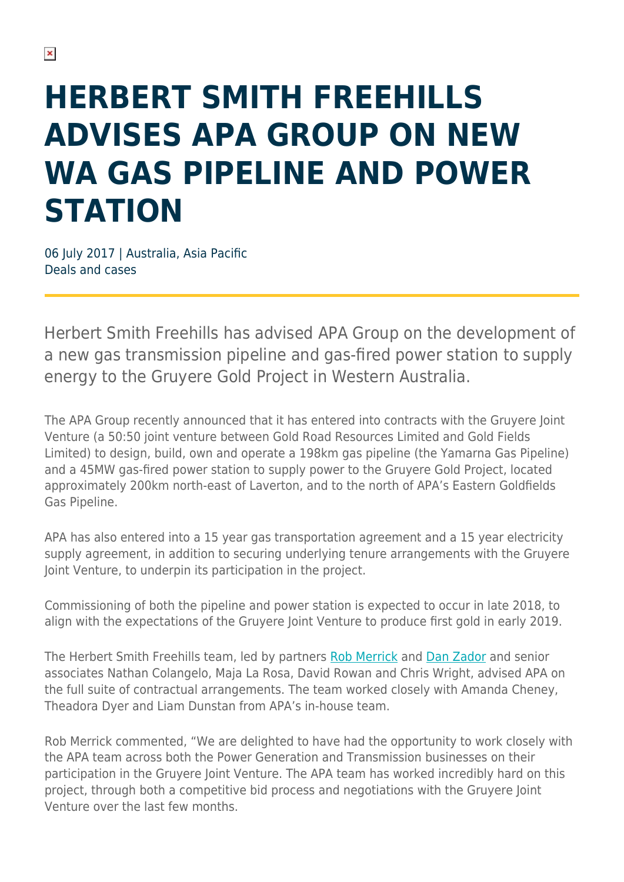## **HERBERT SMITH FREEHILLS ADVISES APA GROUP ON NEW WA GAS PIPELINE AND POWER STATION**

06 July 2017 | Australia, Asia Pacific Deals and cases

Herbert Smith Freehills has advised APA Group on the development of a new gas transmission pipeline and gas-fired power station to supply energy to the Gruyere Gold Project in Western Australia.

The APA Group recently announced that it has entered into contracts with the Gruyere Joint Venture (a 50:50 joint venture between Gold Road Resources Limited and Gold Fields Limited) to design, build, own and operate a 198km gas pipeline (the Yamarna Gas Pipeline) and a 45MW gas-fired power station to supply power to the Gruyere Gold Project, located approximately 200km north-east of Laverton, and to the north of APA's Eastern Goldfields Gas Pipeline.

APA has also entered into a 15 year gas transportation agreement and a 15 year electricity supply agreement, in addition to securing underlying tenure arrangements with the Gruyere Joint Venture, to underpin its participation in the project.

Commissioning of both the pipeline and power station is expected to occur in late 2018, to align with the expectations of the Gruyere Joint Venture to produce first gold in early 2019.

The Herbert Smith Freehills team, led by partners [Rob Merrick](https://www.herbertsmithfreehills.com/our-people/robert-merrick) and [Dan Zador](https://www.herbertsmithfreehills.com/our-people/daniel-zador) and senior associates Nathan Colangelo, Maja La Rosa, David Rowan and Chris Wright, advised APA on the full suite of contractual arrangements. The team worked closely with Amanda Cheney, Theadora Dyer and Liam Dunstan from APA's in-house team.

Rob Merrick commented, "We are delighted to have had the opportunity to work closely with the APA team across both the Power Generation and Transmission businesses on their participation in the Gruyere Joint Venture. The APA team has worked incredibly hard on this project, through both a competitive bid process and negotiations with the Gruyere Joint Venture over the last few months.